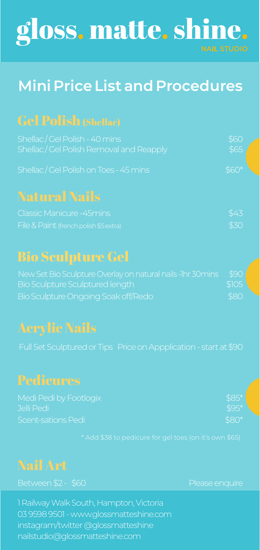# gloss. matte. shine.

# **Mini Price List and Procedures**

# Gel Polish (Shellac)

| Shellac/Gel Polish - 40 mins            | \$60   |  |
|-----------------------------------------|--------|--|
| Shellac/Gel Polish Removal and Reapply, | \$65   |  |
| Shallar / Gal Dolich on Tope - 45 mine  | $460*$ |  |

### Natural Nails

| <b>Classic Manicure -45mins</b>        | \$43 |
|----------------------------------------|------|
| File & Paint (french polish \$5 extra) | \$30 |

# Bio Sculpture Gel

| New Set Bio Sculpture Overlay on natural nails - Thr 30 mins | \$90  |
|--------------------------------------------------------------|-------|
| Bio Sculpture Sculptured length                              | \$105 |
| Bio Sculpture Ongoing Soak off/Redo                          | \$80  |

Full Set Sculptured or Tips Price on Appplication - start at \$90

| Medi Pedi by Footlogix | $$85*$ |
|------------------------|--------|
| Jelli Pedi             | $$95*$ |
| Scent-sations Pedi     | $$80*$ |

## Nail Art

1 Railway Walk South, Hampton, Victoria 03 9598 9501 - www.glossmatteshine.com instagram/twitter @glossmatteshine nailstudio@glossmatteshine.com